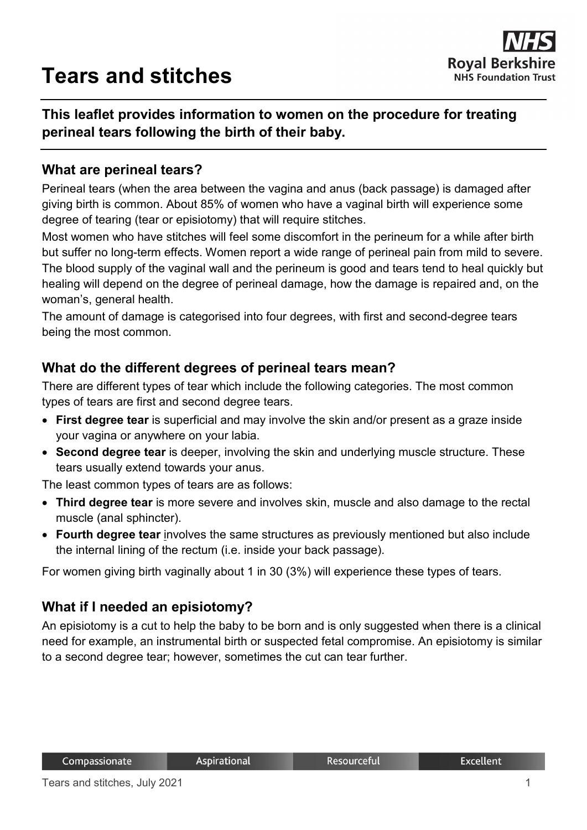# **Tears and stitches**



# **This leaflet provides information to women on the procedure for treating perineal tears following the birth of their baby.**

#### **What are perineal tears?**

Perineal tears (when the area between the vagina and anus (back passage) is damaged after giving birth is common. About 85% of women who have a vaginal birth will experience some degree of tearing (tear or episiotomy) that will require stitches.

Most women who have stitches will feel some discomfort in the perineum for a while after birth but suffer no long-term effects. Women report a wide range of perineal pain from mild to severe. The blood supply of the vaginal wall and the perineum is good and tears tend to heal quickly but healing will depend on the degree of perineal damage, how the damage is repaired and, on the woman's, general health.

The amount of damage is categorised into four degrees, with first and second-degree tears being the most common.

#### **What do the different degrees of perineal tears mean?**

There are different types of tear which include the following categories. The most common types of tears are first and second degree tears.

- **First degree tear** is superficial and may involve the skin and/or present as a graze inside your vagina or anywhere on your labia.
- **Second degree tear** is deeper, involving the skin and underlying muscle structure. These tears usually extend towards your anus.

The least common types of tears are as follows:

- **Third degree tear** is more severe and involves skin, muscle and also damage to the rectal muscle (anal sphincter).
- **Fourth degree tear** involves the same structures as previously mentioned but also include the internal lining of the rectum (i.e. inside your back passage).

For women giving birth vaginally about 1 in 30 (3%) will experience these types of tears.

#### **What if I needed an episiotomy?**

An episiotomy is a cut to help the baby to be born and is only suggested when there is a clinical need for example, an instrumental birth or suspected fetal compromise. An episiotomy is similar to a second degree tear; however, sometimes the cut can tear further.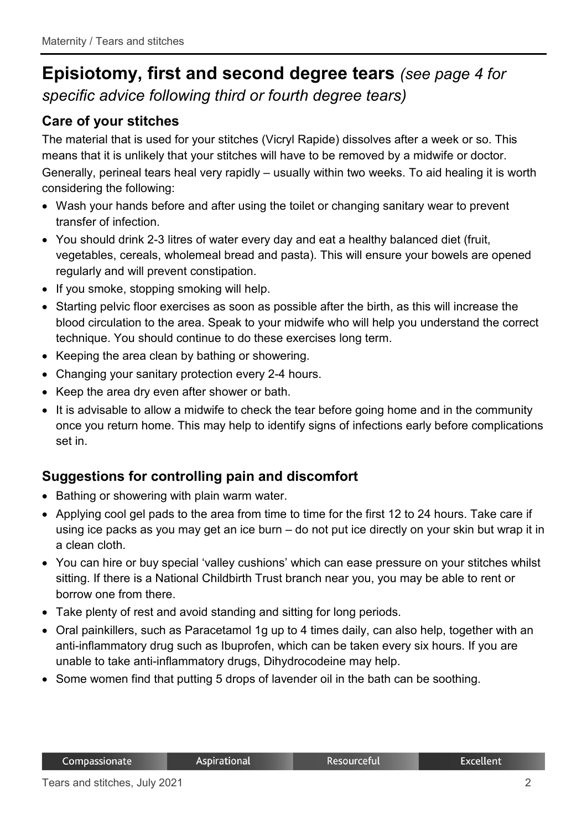# **Episiotomy, first and second degree tears** *(see page 4 for specific advice following third or fourth degree tears)*

# **Care of your stitches**

The material that is used for your stitches (Vicryl Rapide) dissolves after a week or so. This means that it is unlikely that your stitches will have to be removed by a midwife or doctor. Generally, perineal tears heal very rapidly – usually within two weeks. To aid healing it is worth considering the following:

- Wash your hands before and after using the toilet or changing sanitary wear to prevent transfer of infection.
- You should drink 2-3 litres of water every day and eat a healthy balanced diet (fruit, vegetables, cereals, wholemeal bread and pasta). This will ensure your bowels are opened regularly and will prevent constipation.
- If you smoke, stopping smoking will help.
- Starting pelvic floor exercises as soon as possible after the birth, as this will increase the blood circulation to the area. Speak to your midwife who will help you understand the correct technique. You should continue to do these exercises long term.
- Keeping the area clean by bathing or showering.
- Changing your sanitary protection every 2-4 hours.
- Keep the area dry even after shower or bath.
- It is advisable to allow a midwife to check the tear before going home and in the community once you return home. This may help to identify signs of infections early before complications set in.

# **Suggestions for controlling pain and discomfort**

- Bathing or showering with plain warm water.
- Applying cool gel pads to the area from time to time for the first 12 to 24 hours. Take care if using ice packs as you may get an ice burn – do not put ice directly on your skin but wrap it in a clean cloth.
- You can hire or buy special 'valley cushions' which can ease pressure on your stitches whilst sitting. If there is a National Childbirth Trust branch near you, you may be able to rent or borrow one from there.
- Take plenty of rest and avoid standing and sitting for long periods.
- Oral painkillers, such as Paracetamol 1g up to 4 times daily, can also help, together with an anti-inflammatory drug such as Ibuprofen, which can be taken every six hours. If you are unable to take anti-inflammatory drugs, Dihydrocodeine may help.
- Some women find that putting 5 drops of lavender oil in the bath can be soothing.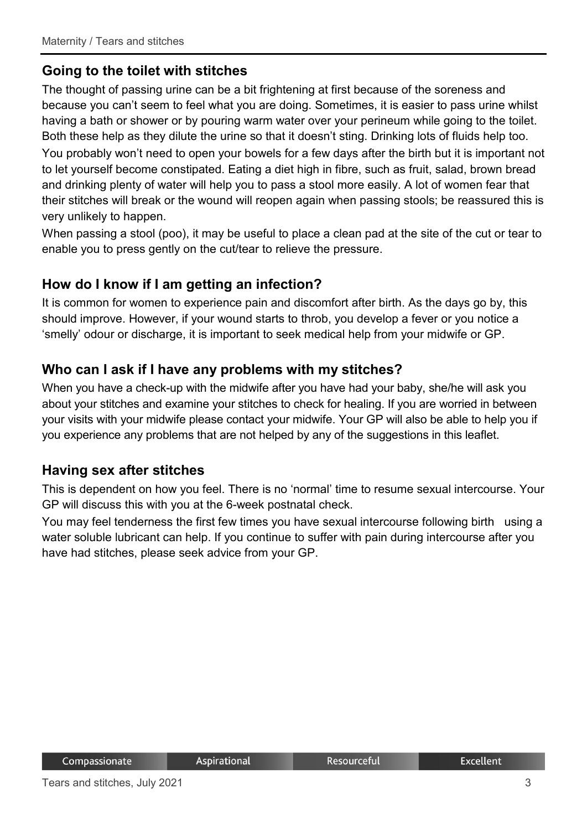## **Going to the toilet with stitches**

The thought of passing urine can be a bit frightening at first because of the soreness and because you can't seem to feel what you are doing. Sometimes, it is easier to pass urine whilst having a bath or shower or by pouring warm water over your perineum while going to the toilet. Both these help as they dilute the urine so that it doesn't sting. Drinking lots of fluids help too. You probably won't need to open your bowels for a few days after the birth but it is important not to let yourself become constipated. Eating a diet high in fibre, such as fruit, salad, brown bread and drinking plenty of water will help you to pass a stool more easily. A lot of women fear that their stitches will break or the wound will reopen again when passing stools; be reassured this is very unlikely to happen.

When passing a stool (poo), it may be useful to place a clean pad at the site of the cut or tear to enable you to press gently on the cut/tear to relieve the pressure.

### **How do I know if I am getting an infection?**

It is common for women to experience pain and discomfort after birth. As the days go by, this should improve. However, if your wound starts to throb, you develop a fever or you notice a 'smelly' odour or discharge, it is important to seek medical help from your midwife or GP.

#### **Who can I ask if I have any problems with my stitches?**

When you have a check-up with the midwife after you have had your baby, she/he will ask you about your stitches and examine your stitches to check for healing. If you are worried in between your visits with your midwife please contact your midwife. Your GP will also be able to help you if you experience any problems that are not helped by any of the suggestions in this leaflet.

#### **Having sex after stitches**

This is dependent on how you feel. There is no 'normal' time to resume sexual intercourse. Your GP will discuss this with you at the 6-week postnatal check.

You may feel tenderness the first few times you have sexual intercourse following birth using a water soluble lubricant can help. If you continue to suffer with pain during intercourse after you have had stitches, please seek advice from your GP.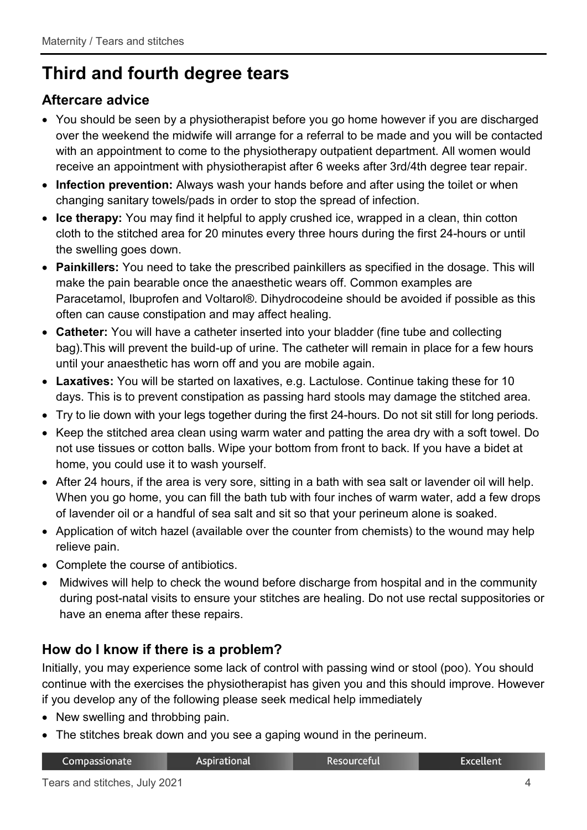# **Third and fourth degree tears**

# **Aftercare advice**

- You should be seen by a physiotherapist before you go home however if you are discharged over the weekend the midwife will arrange for a referral to be made and you will be contacted with an appointment to come to the physiotherapy outpatient department. All women would receive an appointment with physiotherapist after 6 weeks after 3rd/4th degree tear repair.
- **Infection prevention:** Always wash your hands before and after using the toilet or when changing sanitary towels/pads in order to stop the spread of infection.
- **Ice therapy:** You may find it helpful to apply crushed ice, wrapped in a clean, thin cotton cloth to the stitched area for 20 minutes every three hours during the first 24-hours or until the swelling goes down.
- **Painkillers:** You need to take the prescribed painkillers as specified in the dosage. This will make the pain bearable once the anaesthetic wears off. Common examples are Paracetamol, Ibuprofen and Voltarol®. Dihydrocodeine should be avoided if possible as this often can cause constipation and may affect healing.
- **Catheter:** You will have a catheter inserted into your bladder (fine tube and collecting bag).This will prevent the build-up of urine. The catheter will remain in place for a few hours until your anaesthetic has worn off and you are mobile again.
- **Laxatives:** You will be started on laxatives, e.g. Lactulose. Continue taking these for 10 days. This is to prevent constipation as passing hard stools may damage the stitched area.
- Try to lie down with your legs together during the first 24-hours. Do not sit still for long periods.
- Keep the stitched area clean using warm water and patting the area dry with a soft towel. Do not use tissues or cotton balls. Wipe your bottom from front to back. If you have a bidet at home, you could use it to wash yourself.
- After 24 hours, if the area is very sore, sitting in a bath with sea salt or lavender oil will help. When you go home, you can fill the bath tub with four inches of warm water, add a few drops of lavender oil or a handful of sea salt and sit so that your perineum alone is soaked.
- Application of witch hazel (available over the counter from chemists) to the wound may help relieve pain.
- Complete the course of antibiotics.
- Midwives will help to check the wound before discharge from hospital and in the community during post-natal visits to ensure your stitches are healing. Do not use rectal suppositories or have an enema after these repairs.

# **How do I know if there is a problem?**

Initially, you may experience some lack of control with passing wind or stool (poo). You should continue with the exercises the physiotherapist has given you and this should improve. However if you develop any of the following please seek medical help immediately

- New swelling and throbbing pain.
- The stitches break down and you see a gaping wound in the perineum.

| Compassionate | <b>Aspirational</b> | Resourceful | <b>Excellent</b> |
|---------------|---------------------|-------------|------------------|
|---------------|---------------------|-------------|------------------|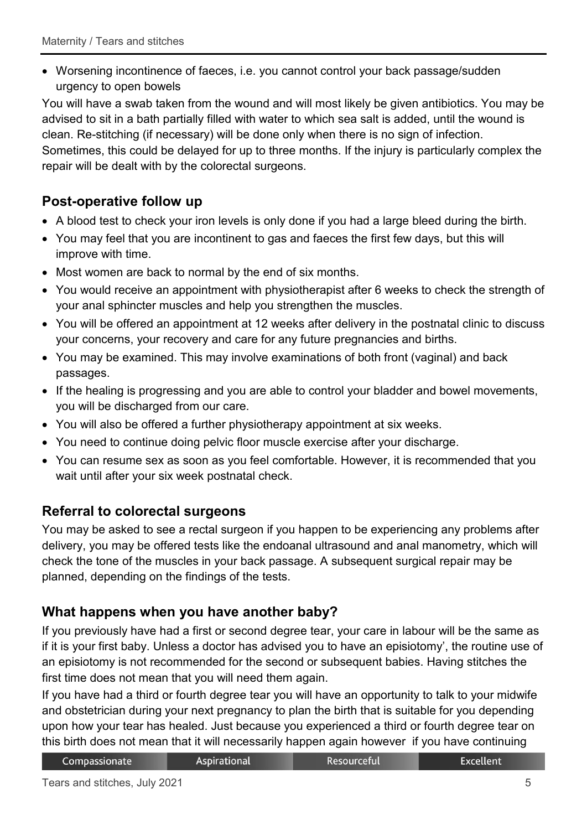• Worsening incontinence of faeces, i.e. you cannot control your back passage/sudden urgency to open bowels

You will have a swab taken from the wound and will most likely be given antibiotics. You may be advised to sit in a bath partially filled with water to which sea salt is added, until the wound is clean. Re-stitching (if necessary) will be done only when there is no sign of infection. Sometimes, this could be delayed for up to three months. If the injury is particularly complex the repair will be dealt with by the colorectal surgeons.

# **Post-operative follow up**

- A blood test to check your iron levels is only done if you had a large bleed during the birth.
- You may feel that you are incontinent to gas and faeces the first few days, but this will improve with time.
- Most women are back to normal by the end of six months.
- You would receive an appointment with physiotherapist after 6 weeks to check the strength of your anal sphincter muscles and help you strengthen the muscles.
- You will be offered an appointment at 12 weeks after delivery in the postnatal clinic to discuss your concerns, your recovery and care for any future pregnancies and births.
- You may be examined. This may involve examinations of both front (vaginal) and back passages.
- If the healing is progressing and you are able to control your bladder and bowel movements, you will be discharged from our care.
- You will also be offered a further physiotherapy appointment at six weeks.
- You need to continue doing pelvic floor muscle exercise after your discharge.
- You can resume sex as soon as you feel comfortable. However, it is recommended that you wait until after your six week postnatal check.

#### **Referral to colorectal surgeons**

You may be asked to see a rectal surgeon if you happen to be experiencing any problems after delivery, you may be offered tests like the endoanal ultrasound and anal manometry, which will check the tone of the muscles in your back passage. A subsequent surgical repair may be planned, depending on the findings of the tests.

# **What happens when you have another baby?**

**Aspirational** 

If you previously have had a first or second degree tear, your care in labour will be the same as if it is your first baby. Unless a doctor has advised you to have an episiotomy', the routine use of an episiotomy is not recommended for the second or subsequent babies. Having stitches the first time does not mean that you will need them again.

If you have had a third or fourth degree tear you will have an opportunity to talk to your midwife and obstetrician during your next pregnancy to plan the birth that is suitable for you depending upon how your tear has healed. Just because you experienced a third or fourth degree tear on this birth does not mean that it will necessarily happen again however if you have continuing

| passionate |  |
|------------|--|
|------------|--|

Resourceful

**Excellent** 

Com